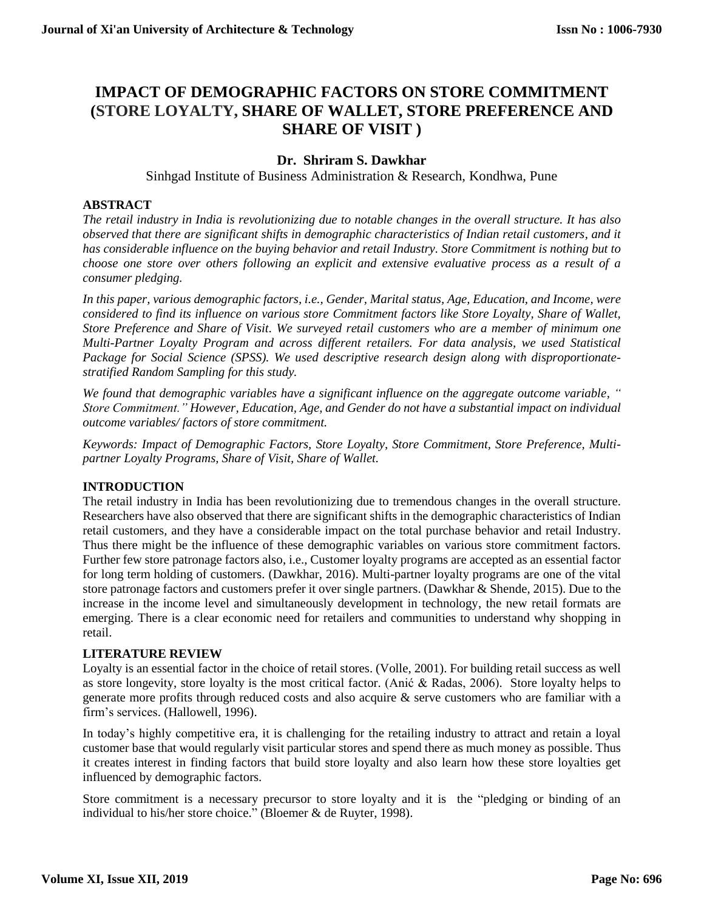# **IMPACT OF DEMOGRAPHIC FACTORS ON STORE COMMITMENT (STORE LOYALTY, SHARE OF WALLET, STORE PREFERENCE AND SHARE OF VISIT )**

# **Dr. Shriram S. Dawkhar**

Sinhgad Institute of Business Administration & Research, Kondhwa, Pune

## **ABSTRACT**

*The retail industry in India is revolutionizing due to notable changes in the overall structure. It has also observed that there are significant shifts in demographic characteristics of Indian retail customers, and it has considerable influence on the buying behavior and retail Industry. Store Commitment is nothing but to choose one store over others following an explicit and extensive evaluative process as a result of a consumer pledging.*

*In this paper, various demographic factors, i.e., Gender, Marital status, Age, Education, and Income, were considered to find its influence on various store Commitment factors like Store Loyalty, Share of Wallet, Store Preference and Share of Visit. We surveyed retail customers who are a member of minimum one Multi-Partner Loyalty Program and across different retailers. For data analysis, we used Statistical Package for Social Science (SPSS). We used descriptive research design along with disproportionatestratified Random Sampling for this study.*

*We found that demographic variables have a significant influence on the aggregate outcome variable, " Store Commitment." However, Education, Age, and Gender do not have a substantial impact on individual outcome variables/ factors of store commitment.*

*Keywords: Impact of Demographic Factors, Store Loyalty, Store Commitment, Store Preference, Multipartner Loyalty Programs, Share of Visit, Share of Wallet.*

## **INTRODUCTION**

The retail industry in India has been revolutionizing due to tremendous changes in the overall structure. Researchers have also observed that there are significant shifts in the demographic characteristics of Indian retail customers, and they have a considerable impact on the total purchase behavior and retail Industry. Thus there might be the influence of these demographic variables on various store commitment factors. Further few store patronage factors also, i.e., Customer loyalty programs are accepted as an essential factor for long term holding of customers. (Dawkhar, 2016). Multi-partner loyalty programs are one of the vital store patronage factors and customers prefer it over single partners. (Dawkhar & Shende, 2015). Due to the increase in the income level and simultaneously development in technology, the new retail formats are emerging. There is a clear economic need for retailers and communities to understand why shopping in retail.

## **LITERATURE REVIEW**

Loyalty is an essential factor in the choice of retail stores. (Volle, 2001). For building retail success as well as store longevity, store loyalty is the most critical factor. (Anić & Radas, 2006). Store loyalty helps to generate more profits through reduced costs and also acquire & serve customers who are familiar with a firm's services. (Hallowell, 1996).

In today's highly competitive era, it is challenging for the retailing industry to attract and retain a loyal customer base that would regularly visit particular stores and spend there as much money as possible. Thus it creates interest in finding factors that build store loyalty and also learn how these store loyalties get influenced by demographic factors.

Store commitment is a necessary precursor to store loyalty and it is the "pledging or binding of an individual to his/her store choice." (Bloemer & de Ruyter, 1998).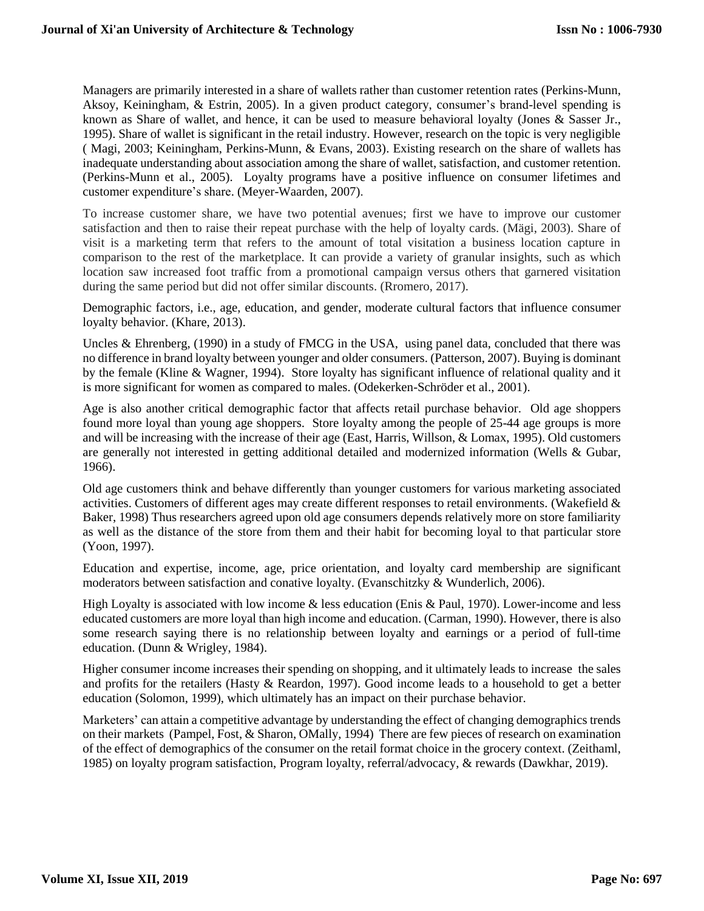Managers are primarily interested in a share of wallets rather than customer retention rates (Perkins-Munn, Aksoy, Keiningham, & Estrin, 2005). In a given product category, consumer's brand-level spending is known as Share of wallet, and hence, it can be used to measure behavioral loyalty (Jones & Sasser Jr., 1995). Share of wallet is significant in the retail industry. However, research on the topic is very negligible ( Magi, 2003; Keiningham, Perkins-Munn, & Evans, 2003). Existing research on the share of wallets has inadequate understanding about association among the share of wallet, satisfaction, and customer retention. (Perkins-Munn et al., 2005). Loyalty programs have a positive influence on consumer lifetimes and customer expenditure's share. (Meyer-Waarden, 2007).

To increase customer share, we have two potential avenues; first we have to improve our customer satisfaction and then to raise their repeat purchase with the help of loyalty cards. (Mägi, 2003). Share of visit is a marketing term that refers to the amount of total visitation a business location capture in comparison to the rest of the marketplace. It can provide a variety of granular insights, such as which location saw increased foot traffic from a promotional campaign versus others that garnered visitation during the same period but did not offer similar discounts. (Rromero, 2017).

Demographic factors, i.e., age, education, and gender, moderate cultural factors that influence consumer loyalty behavior. (Khare, 2013).

Uncles & Ehrenberg, (1990) in a study of FMCG in the USA, using panel data, concluded that there was no difference in brand loyalty between younger and older consumers. (Patterson, 2007). Buying is dominant by the female (Kline & Wagner, 1994). Store loyalty has significant influence of relational quality and it is more significant for women as compared to males. (Odekerken-Schröder et al., 2001).

Age is also another critical demographic factor that affects retail purchase behavior. Old age shoppers found more loyal than young age shoppers. Store loyalty among the people of 25-44 age groups is more and will be increasing with the increase of their age (East, Harris, Willson, & Lomax, 1995). Old customers are generally not interested in getting additional detailed and modernized information (Wells & Gubar, 1966).

Old age customers think and behave differently than younger customers for various marketing associated activities. Customers of different ages may create different responses to retail environments. (Wakefield & Baker, 1998) Thus researchers agreed upon old age consumers depends relatively more on store familiarity as well as the distance of the store from them and their habit for becoming loyal to that particular store (Yoon, 1997).

Education and expertise, income, age, price orientation, and loyalty card membership are significant moderators between satisfaction and conative loyalty. (Evanschitzky & Wunderlich, 2006).

High Loyalty is associated with low income & less education (Enis & Paul, 1970). Lower-income and less educated customers are more loyal than high income and education. (Carman, 1990). However, there is also some research saying there is no relationship between loyalty and earnings or a period of full-time education. (Dunn & Wrigley, 1984).

Higher consumer income increases their spending on shopping, and it ultimately leads to increase the sales and profits for the retailers (Hasty & Reardon, 1997). Good income leads to a household to get a better education (Solomon, 1999), which ultimately has an impact on their purchase behavior.

Marketers' can attain a competitive advantage by understanding the effect of changing demographics trends on their markets (Pampel, Fost, & Sharon, OMally, 1994) There are few pieces of research on examination of the effect of demographics of the consumer on the retail format choice in the grocery context. (Zeithaml, 1985) on loyalty program satisfaction, Program loyalty, referral/advocacy, & rewards (Dawkhar, 2019).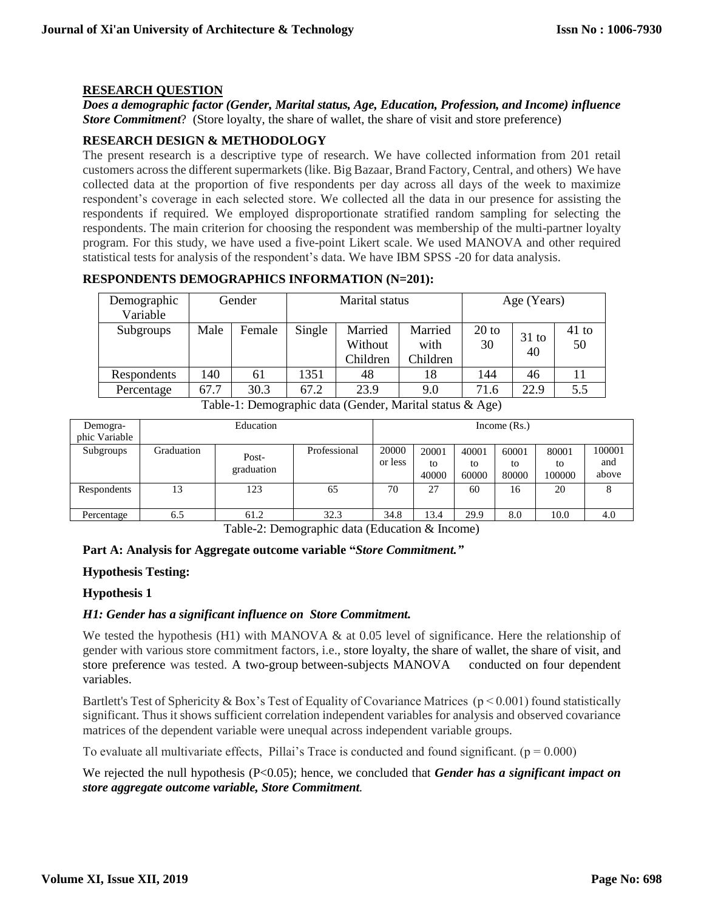#### **RESEARCH QUESTION**

*Does a demographic factor (Gender, Marital status, Age, Education, Profession, and Income) influence Store Commitment*? (Store loyalty, the share of wallet, the share of visit and store preference)

#### **RESEARCH DESIGN & METHODOLOGY**

The present research is a descriptive type of research. We have collected information from 201 retail customers across the different supermarkets (like. Big Bazaar, Brand Factory, Central, and others) We have collected data at the proportion of five respondents per day across all days of the week to maximize respondent's coverage in each selected store. We collected all the data in our presence for assisting the respondents if required. We employed disproportionate stratified random sampling for selecting the respondents. The main criterion for choosing the respondent was membership of the multi-partner loyalty program. For this study, we have used a five-point Likert scale. We used MANOVA and other required statistical tests for analysis of the respondent's data. We have IBM SPSS -20 for data analysis.

#### **RESPONDENTS DEMOGRAPHICS INFORMATION (N=201):**

| Demographic<br>Variable |      | Gender | Marital status |                                |                             | Age (Years)   |               |               |
|-------------------------|------|--------|----------------|--------------------------------|-----------------------------|---------------|---------------|---------------|
| Subgroups               | Male | Female | Single         | Married<br>Without<br>Children | Married<br>with<br>Children | $20$ to<br>30 | $31$ to<br>40 | $41$ to<br>50 |
| Respondents             | 140  | 61     | 1351           | 48                             | 18                          | 144           | 46            |               |
| Percentage              | 67.7 | 30.3   | 67.2           | 23.9                           | 9.0                         | 71.6          | 22.9          | 5.5           |

Table-1: Demographic data (Gender, Marital status & Age)

| Demogra-      | Education  |                     |              | Income $(Rs.)$   |                      |                      |                      |                       |                        |
|---------------|------------|---------------------|--------------|------------------|----------------------|----------------------|----------------------|-----------------------|------------------------|
| phic Variable |            |                     |              |                  |                      |                      |                      |                       |                        |
| Subgroups     | Graduation | Post-<br>graduation | Professional | 20000<br>or less | 20001<br>to<br>40000 | 40001<br>to<br>60000 | 60001<br>to<br>80000 | 80001<br>to<br>100000 | 100001<br>and<br>above |
| Respondents   | 13         | 123                 | 65           | 70               | 27                   | 60                   | 16                   | 20                    |                        |
| Percentage    | 6.5        | 61.2                | 32.3         | 34.8             | 13.4                 | 29.9                 | 8.0                  | 10.0                  | 4.0                    |

Table-2: Demographic data (Education & Income)

## **Part A: Analysis for Aggregate outcome variable "***Store Commitment."*

#### **Hypothesis Testing:**

#### **Hypothesis 1**

## *H1: Gender has a significant influence on Store Commitment.*

We tested the hypothesis (H1) with MANOVA  $\&$  at 0.05 level of significance. Here the relationship of gender with various store commitment factors, i.e., store loyalty, the share of wallet, the share of visit, and store preference was tested. A two-group between-subjects MANOVA conducted on four dependent variables.

Bartlett's Test of Sphericity & Box's Test of Equality of Covariance Matrices ( $p < 0.001$ ) found statistically significant. Thus it shows sufficient correlation independent variables for analysis and observed covariance matrices of the dependent variable were unequal across independent variable groups.

To evaluate all multivariate effects, Pillai's Trace is conducted and found significant. ( $p = 0.000$ )

We rejected the null hypothesis (P<0.05); hence, we concluded that *Gender has a significant impact on store aggregate outcome variable, Store Commitment.*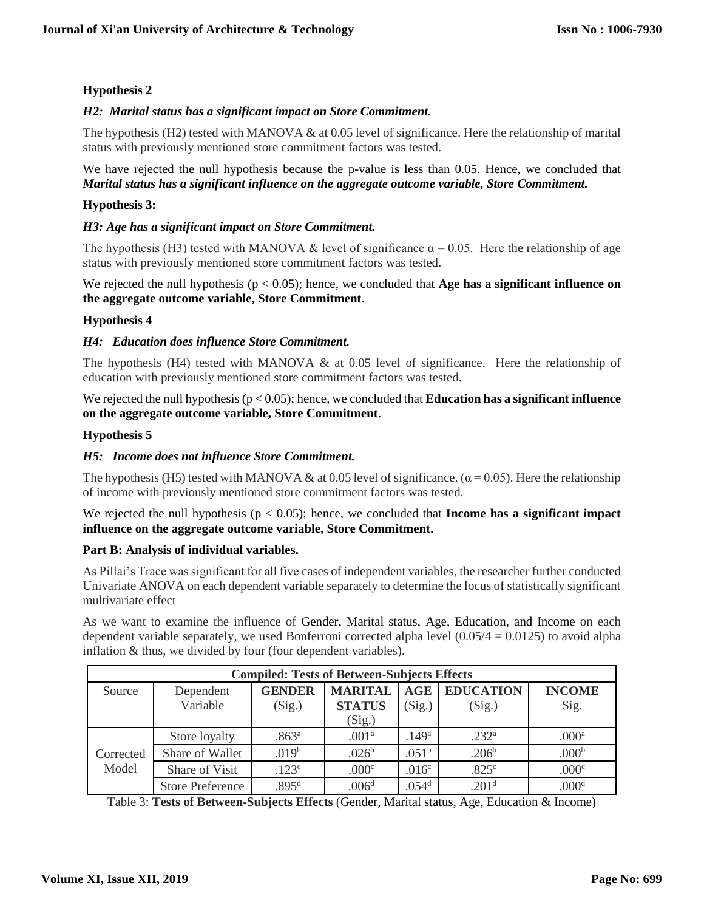# **Hypothesis 2**

# *H2: Marital status has a significant impact on Store Commitment.*

The hypothesis (H2) tested with MANOVA  $\&$  at 0.05 level of significance. Here the relationship of marital status with previously mentioned store commitment factors was tested.

## We have rejected the null hypothesis because the p-value is less than 0.05. Hence, we concluded that *Marital status has a significant influence on the aggregate outcome variable, Store Commitment.*

# **Hypothesis 3:**

## *H3: Age has a significant impact on Store Commitment.*

The hypothesis (H3) tested with MANOVA & level of significance  $\alpha = 0.05$ . Here the relationship of age status with previously mentioned store commitment factors was tested.

## We rejected the null hypothesis (p < 0.05); hence, we concluded that **Age has a significant influence on the aggregate outcome variable, Store Commitment**.

## **Hypothesis 4**

## *H4: Education does influence Store Commitment.*

The hypothesis (H4) tested with MANOVA  $\&$  at 0.05 level of significance. Here the relationship of education with previously mentioned store commitment factors was tested.

We rejected the null hypothesis ( $p < 0.05$ ); hence, we concluded that **Education has a significant influence on the aggregate outcome variable, Store Commitment**.

#### **Hypothesis 5**

## *H5: Income does not influence Store Commitment.*

The hypothesis (H5) tested with MANOVA & at 0.05 level of significance. ( $\alpha$  = 0.05). Here the relationship of income with previously mentioned store commitment factors was tested.

We rejected the null hypothesis ( $p < 0.05$ ); hence, we concluded that **Income has a significant impact influence on the aggregate outcome variable, Store Commitment.**

## **Part B: Analysis of individual variables.**

As Pillai's Trace was significant for all five cases of independent variables, the researcher further conducted Univariate ANOVA on each dependent variable separately to determine the locus of statistically significant multivariate effect

As we want to examine the influence of Gender, Marital status, Age, Education, and Income on each dependent variable separately, we used Bonferroni corrected alpha level  $(0.05/4 = 0.0125)$  to avoid alpha inflation & thus, we divided by four (four dependent variables).

| <b>Compiled: Tests of Between-Subjects Effects</b> |                         |                     |                   |                   |                   |                   |  |
|----------------------------------------------------|-------------------------|---------------------|-------------------|-------------------|-------------------|-------------------|--|
| Source                                             | Dependent               | <b>GENDER</b>       | <b>MARITAL</b>    | <b>AGE</b>        | <b>EDUCATION</b>  | <b>INCOME</b>     |  |
|                                                    | Variable                | (Sig.)              | <b>STATUS</b>     | (Sig.)            | (Sig.)            | Sig.              |  |
|                                                    |                         |                     | (Sig.)            |                   |                   |                   |  |
| Corrected<br>Model                                 | Store loyalty           | $.863$ <sup>a</sup> | .001 <sup>a</sup> | .149 <sup>a</sup> | .232 <sup>a</sup> | .000 <sup>a</sup> |  |
|                                                    | Share of Wallet         | .019 <sup>b</sup>   | .026 <sup>b</sup> | .051 <sup>b</sup> | .206 <sup>b</sup> | .000 <sup>b</sup> |  |
|                                                    | Share of Visit          | .123 <sup>c</sup>   | .000c             | .016 <sup>c</sup> | .825c             | .000 <sup>c</sup> |  |
|                                                    | <b>Store Preference</b> | .895 <sup>d</sup>   | .006 <sup>d</sup> | .054 <sup>d</sup> | .201 <sup>d</sup> | .000 <sup>d</sup> |  |

Table 3: **Tests of Between-Subjects Effects** (Gender, Marital status, Age, Education & Income)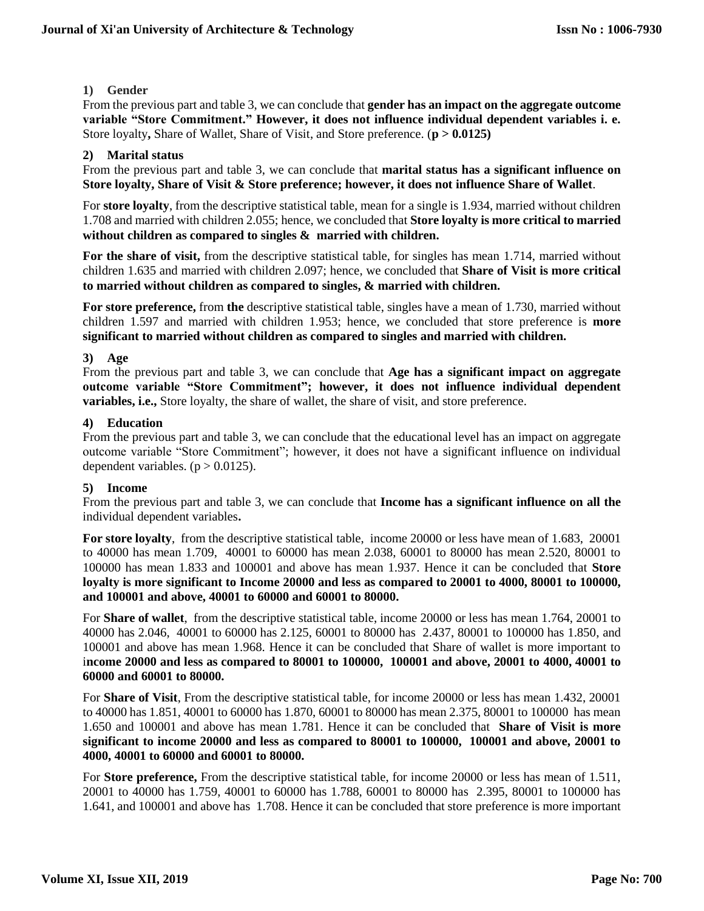# **1) Gender**

From the previous part and table 3, we can conclude that **gender has an impact on the aggregate outcome variable "Store Commitment." However, it does not influence individual dependent variables i. e.**  Store loyalty**,** Share of Wallet, Share of Visit, and Store preference. (**p > 0.0125)**

# **2) Marital status**

From the previous part and table 3, we can conclude that **marital status has a significant influence on Store loyalty, Share of Visit & Store preference; however, it does not influence Share of Wallet**.

For **store loyalty**, from the descriptive statistical table, mean for a single is 1.934, married without children 1.708 and married with children 2.055; hence, we concluded that **Store loyalty is more critical to married without children as compared to singles & married with children.**

For the share of visit, from the descriptive statistical table, for singles has mean 1.714, married without children 1.635 and married with children 2.097; hence, we concluded that **Share of Visit is more critical to married without children as compared to singles, & married with children.**

**For store preference,** from **the** descriptive statistical table, singles have a mean of 1.730, married without children 1.597 and married with children 1.953; hence, we concluded that store preference is **more significant to married without children as compared to singles and married with children.**

## **3) Age**

From the previous part and table 3, we can conclude that **Age has a significant impact on aggregate outcome variable "Store Commitment"; however, it does not influence individual dependent variables, i.e.,** Store loyalty, the share of wallet, the share of visit, and store preference.

## **4) Education**

From the previous part and table 3, we can conclude that the educational level has an impact on aggregate outcome variable "Store Commitment"; however, it does not have a significant influence on individual dependent variables.  $(p > 0.0125)$ .

## **5) Income**

From the previous part and table 3, we can conclude that **Income has a significant influence on all the** individual dependent variables**.**

**For store loyalty**, from the descriptive statistical table, income 20000 or less have mean of 1.683, 20001 to 40000 has mean 1.709, 40001 to 60000 has mean 2.038, 60001 to 80000 has mean 2.520, 80001 to 100000 has mean 1.833 and 100001 and above has mean 1.937. Hence it can be concluded that **Store loyalty is more significant to Income 20000 and less as compared to 20001 to 4000, 80001 to 100000, and 100001 and above, 40001 to 60000 and 60001 to 80000.**

For **Share of wallet**, from the descriptive statistical table, income 20000 or less has mean 1.764, 20001 to 40000 has 2.046, 40001 to 60000 has 2.125, 60001 to 80000 has 2.437, 80001 to 100000 has 1.850, and 100001 and above has mean 1.968. Hence it can be concluded that Share of wallet is more important to i**ncome 20000 and less as compared to 80001 to 100000, 100001 and above, 20001 to 4000, 40001 to 60000 and 60001 to 80000.**

For **Share of Visit**, From the descriptive statistical table, for income 20000 or less has mean 1.432, 20001 to 40000 has 1.851, 40001 to 60000 has 1.870, 60001 to 80000 has mean 2.375, 80001 to 100000 has mean 1.650 and 100001 and above has mean 1.781. Hence it can be concluded that **Share of Visit is more significant to income 20000 and less as compared to 80001 to 100000, 100001 and above, 20001 to 4000, 40001 to 60000 and 60001 to 80000.**

For **Store preference,** From the descriptive statistical table, for income 20000 or less has mean of 1.511, 20001 to 40000 has 1.759, 40001 to 60000 has 1.788, 60001 to 80000 has 2.395, 80001 to 100000 has 1.641, and 100001 and above has 1.708. Hence it can be concluded that store preference is more important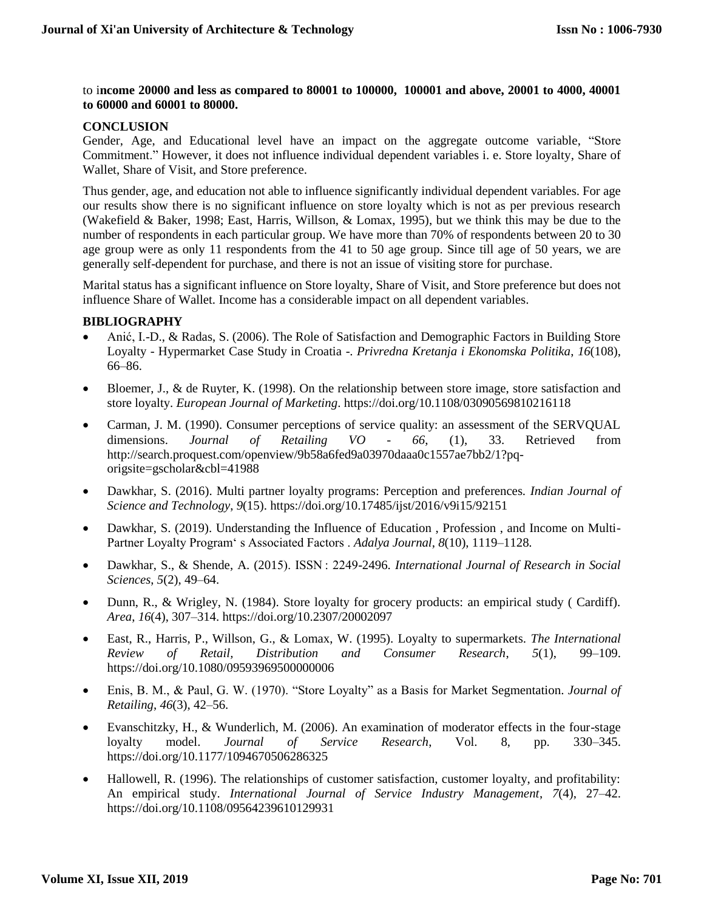to i**ncome 20000 and less as compared to 80001 to 100000, 100001 and above, 20001 to 4000, 40001 to 60000 and 60001 to 80000.**

#### **CONCLUSION**

Gender, Age, and Educational level have an impact on the aggregate outcome variable, "Store Commitment." However, it does not influence individual dependent variables i. e. Store loyalty, Share of Wallet, Share of Visit, and Store preference.

Thus gender, age, and education not able to influence significantly individual dependent variables. For age our results show there is no significant influence on store loyalty which is not as per previous research (Wakefield & Baker, 1998; East, Harris, Willson, & Lomax, 1995), but we think this may be due to the number of respondents in each particular group. We have more than 70% of respondents between 20 to 30 age group were as only 11 respondents from the 41 to 50 age group. Since till age of 50 years, we are generally self-dependent for purchase, and there is not an issue of visiting store for purchase.

Marital status has a significant influence on Store loyalty, Share of Visit, and Store preference but does not influence Share of Wallet. Income has a considerable impact on all dependent variables.

#### **BIBLIOGRAPHY**

- Anić, I.-D., & Radas, S. (2006). The Role of Satisfaction and Demographic Factors in Building Store Loyalty - Hypermarket Case Study in Croatia -. *Privredna Kretanja i Ekonomska Politika*, *16*(108), 66–86.
- Bloemer, J., & de Ruyter, K. (1998). On the relationship between store image, store satisfaction and store loyalty. *European Journal of Marketing*. https://doi.org/10.1108/03090569810216118
- Carman, J. M. (1990). Consumer perceptions of service quality: an assessment of the SERVQUAL dimensions. *Journal of Retailing VO - 66*, (1), 33. Retrieved from http://search.proquest.com/openview/9b58a6fed9a03970daaa0c1557ae7bb2/1?pqorigsite=gscholar&cbl=41988
- Dawkhar, S. (2016). Multi partner loyalty programs: Perception and preferences. *Indian Journal of Science and Technology*, *9*(15). https://doi.org/10.17485/ijst/2016/v9i15/92151
- Dawkhar, S. (2019). Understanding the Influence of Education , Profession , and Income on Multi-Partner Loyalty Program' s Associated Factors . *Adalya Journal*, *8*(10), 1119–1128.
- Dawkhar, S., & Shende, A. (2015). ISSN : 2249-2496. *International Journal of Research in Social Sciences*, *5*(2), 49–64.
- Dunn, R., & Wrigley, N. (1984). Store loyalty for grocery products: an empirical study ( Cardiff). *Area*, *16*(4), 307–314. https://doi.org/10.2307/20002097
- East, R., Harris, P., Willson, G., & Lomax, W. (1995). Loyalty to supermarkets. *The International Review of Retail, Distribution and Consumer Research*, *5*(1), 99–109. https://doi.org/10.1080/09593969500000006
- Enis, B. M., & Paul, G. W. (1970). "Store Loyalty" as a Basis for Market Segmentation. *Journal of Retailing*, *46*(3), 42–56.
- Evanschitzky, H., & Wunderlich, M. (2006). An examination of moderator effects in the four-stage loyalty model. *Journal of Service Research*, Vol. 8, pp. 330–345. https://doi.org/10.1177/1094670506286325
- Hallowell, R. (1996). The relationships of customer satisfaction, customer loyalty, and profitability: An empirical study. *International Journal of Service Industry Management*, *7*(4), 27–42. https://doi.org/10.1108/09564239610129931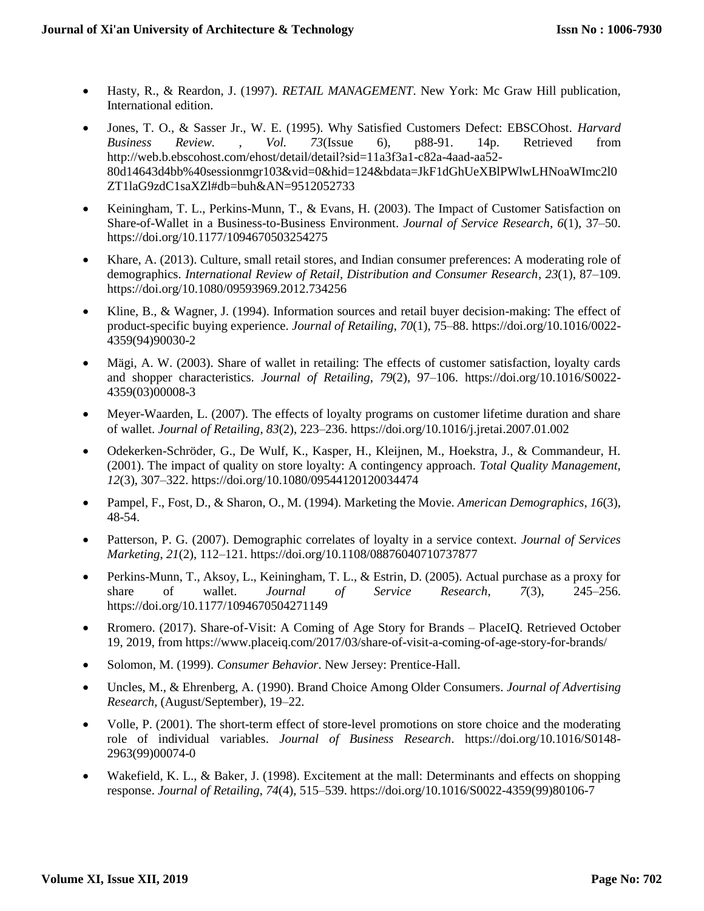- Hasty, R., & Reardon, J. (1997). *RETAIL MANAGEMENT*. New York: Mc Graw Hill publication, International edition.
- Jones, T. O., & Sasser Jr., W. E. (1995). Why Satisfied Customers Defect: EBSCOhost. *Harvard Business Review.* , *Vol. 73*(Issue 6), p88-91. 14p. Retrieved from http://web.b.ebscohost.com/ehost/detail/detail?sid=11a3f3a1-c82a-4aad-aa52- 80d14643d4bb%40sessionmgr103&vid=0&hid=124&bdata=JkF1dGhUeXBlPWlwLHNoaWImc2l0 ZT1laG9zdC1saXZl#db=buh&AN=9512052733
- Keiningham, T. L., Perkins-Munn, T., & Evans, H. (2003). The Impact of Customer Satisfaction on Share-of-Wallet in a Business-to-Business Environment. *Journal of Service Research*, *6*(1), 37–50. https://doi.org/10.1177/1094670503254275
- Khare, A. (2013). Culture, small retail stores, and Indian consumer preferences: A moderating role of demographics. *International Review of Retail, Distribution and Consumer Research*, *23*(1), 87–109. https://doi.org/10.1080/09593969.2012.734256
- Kline, B., & Wagner, J. (1994). Information sources and retail buyer decision-making: The effect of product-specific buying experience. *Journal of Retailing*, *70*(1), 75–88. https://doi.org/10.1016/0022- 4359(94)90030-2
- Mägi, A. W. (2003). Share of wallet in retailing: The effects of customer satisfaction, loyalty cards and shopper characteristics. *Journal of Retailing*, *79*(2), 97–106. https://doi.org/10.1016/S0022- 4359(03)00008-3
- Meyer-Waarden, L. (2007). The effects of loyalty programs on customer lifetime duration and share of wallet. *Journal of Retailing*, *83*(2), 223–236. https://doi.org/10.1016/j.jretai.2007.01.002
- Odekerken-Schröder, G., De Wulf, K., Kasper, H., Kleijnen, M., Hoekstra, J., & Commandeur, H. (2001). The impact of quality on store loyalty: A contingency approach. *Total Quality Management*, *12*(3), 307–322. https://doi.org/10.1080/09544120120034474
- Pampel, F., Fost, D., & Sharon, O., M. (1994). Marketing the Movie. *American Demographics*, *16*(3), 48-54.
- Patterson, P. G. (2007). Demographic correlates of loyalty in a service context. *Journal of Services Marketing*, *21*(2), 112–121. https://doi.org/10.1108/08876040710737877
- Perkins-Munn, T., Aksoy, L., Keiningham, T. L., & Estrin, D. (2005). Actual purchase as a proxy for share of wallet. *Journal of Service Research*, *7*(3), 245–256. https://doi.org/10.1177/1094670504271149
- Rromero. (2017). Share-of-Visit: A Coming of Age Story for Brands PlaceIQ. Retrieved October 19, 2019, from https://www.placeiq.com/2017/03/share-of-visit-a-coming-of-age-story-for-brands/
- Solomon, M. (1999). *Consumer Behavior*. New Jersey: Prentice-Hall.
- Uncles, M., & Ehrenberg, A. (1990). Brand Choice Among Older Consumers. *Journal of Advertising Research*, (August/September), 19–22.
- Volle, P. (2001). The short-term effect of store-level promotions on store choice and the moderating role of individual variables. *Journal of Business Research*. https://doi.org/10.1016/S0148- 2963(99)00074-0
- Wakefield, K. L., & Baker, J. (1998). Excitement at the mall: Determinants and effects on shopping response. *Journal of Retailing*, *74*(4), 515–539. https://doi.org/10.1016/S0022-4359(99)80106-7